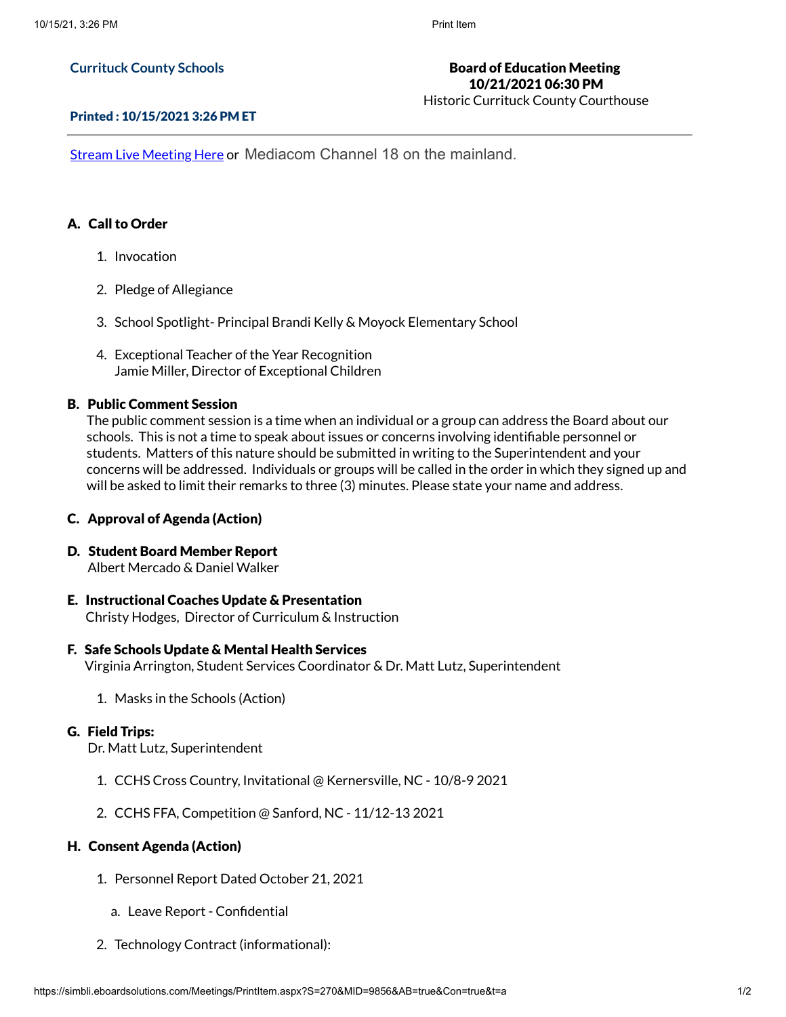### **Currituck County Schools**

# Board of Education Meeting 10/21/2021 06:30 PM

Historic Currituck County Courthouse

#### Printed : 10/15/2021 3:26 PM ET

**Stream Live [Meeting](http://currituckcountync.iqm2.com/Citizens/default.aspx) Here or Mediacom Channel 18 on the mainland.** 

### A. Call to Order

- 1. Invocation
- 2. Pledge of Allegiance
- 3. School Spotlight- Principal Brandi Kelly & Moyock Elementary School
- 4. Exceptional Teacher of the Year Recognition Jamie Miller, Director of Exceptional Children

### B. Public Comment Session

The public comment session is a time when an individual or a group can address the Board about our schools. This is not a time to speak about issues or concerns involving identifiable personnel or students. Matters of this nature should be submitted in writing to the Superintendent and your concerns will be addressed. Individuals or groups will be called in the order in which they signed up and will be asked to limit their remarks to three (3) minutes. Please state your name and address.

### C. Approval of Agenda (Action)

### D. Student Board Member Report

Albert Mercado & Daniel Walker

### E. Instructional Coaches Update & Presentation Christy Hodges, Director of Curriculum & Instruction

#### F. Safe Schools Update & Mental Health Services

Virginia Arrington, Student Services Coordinator & Dr. Matt Lutz, Superintendent

1. Masks in the Schools (Action)

#### G. Field Trips:

Dr. Matt Lutz, Superintendent

- 1. CCHS Cross Country, Invitational @ Kernersville, NC 10/8-9 2021
- 2. CCHS FFA, Competition @ Sanford, NC 11/12-13 2021

### H. Consent Agenda (Action)

- 1. Personnel Report Dated October 21, 2021
	- a. Leave Report Confidential
- 2. Technology Contract (informational):